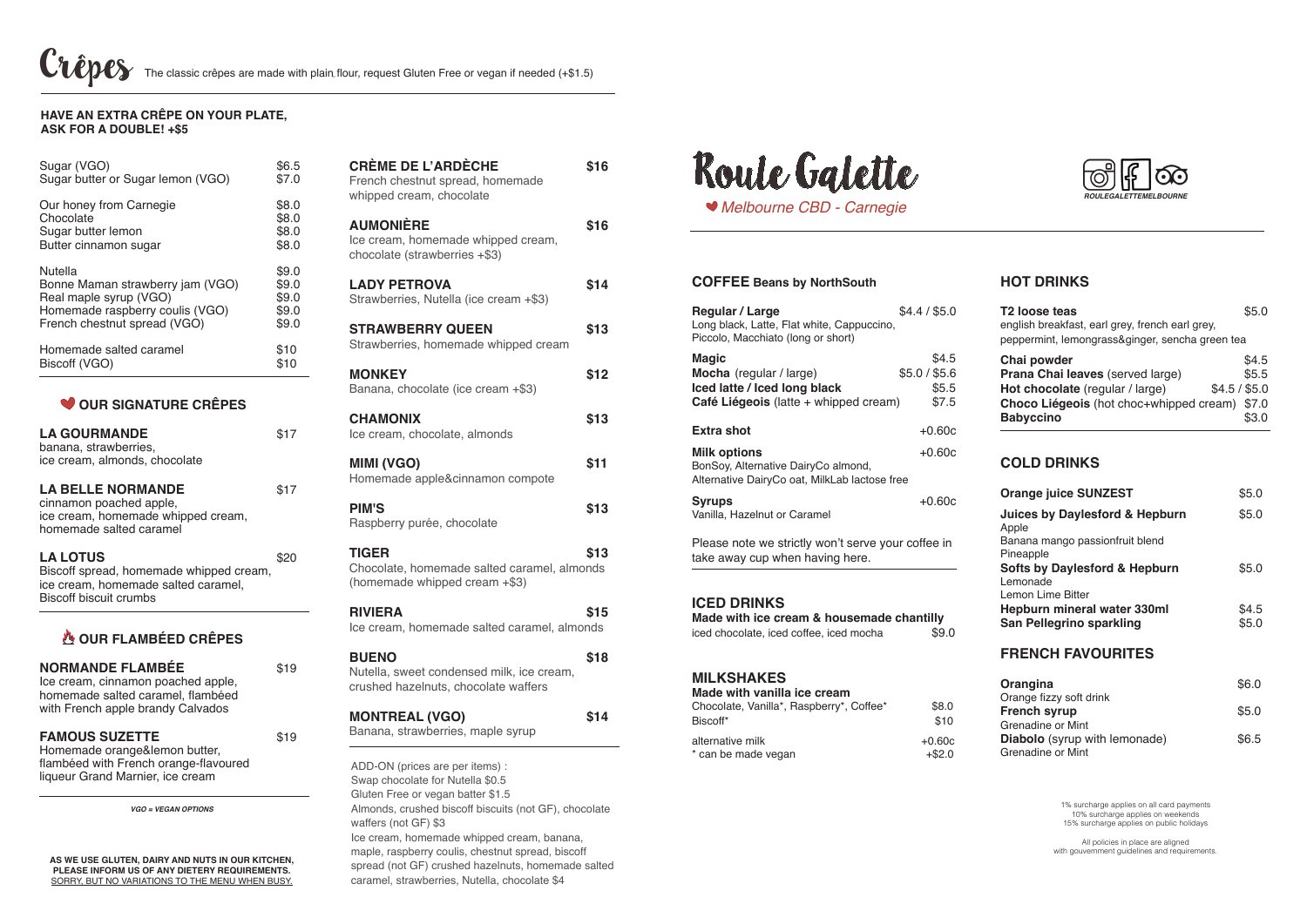| Sugar (VGO)                       | \$6.5 |
|-----------------------------------|-------|
| Sugar butter or Sugar lemon (VGO) | \$7.0 |
| Our honey from Carnegie           | \$8.0 |
| Chocolate                         | \$8.0 |
| Sugar butter lemon                | \$8.0 |
| Butter cinnamon sugar             | \$8.0 |
| <b>Nutella</b>                    | \$9.0 |
| Bonne Maman strawberry jam (VGO)  | \$9.0 |
| Real maple syrup (VGO)            | \$9.0 |
| Homemade raspberry coulis (VGO)   | \$9.0 |
| French chestnut spread (VGO)      | \$9.0 |
| Homemade salted caramel           | \$10  |
| Biscoff (VGO)                     | \$10  |

 $\bullet$  **OUR SIGNATURE CRÊPES** 

| <b>CREME DE L'ARDECHE</b><br>French chestnut spread, homemade<br>whipped cream, chocolate                                                                                                                                                                                                    | \$16 |
|----------------------------------------------------------------------------------------------------------------------------------------------------------------------------------------------------------------------------------------------------------------------------------------------|------|
| <b>AUMONIÈRE</b><br>Ice cream, homemade whipped cream,<br>chocolate (strawberries +\$3)                                                                                                                                                                                                      | \$16 |
| <b>LADY PETROVA</b><br>Strawberries, Nutella (ice cream +\$3)                                                                                                                                                                                                                                | \$14 |
| <b>STRAWBERRY QUEEN</b><br>Strawberries, homemade whipped cream                                                                                                                                                                                                                              | \$13 |
| <b>MONKEY</b><br>Banana, chocolate (ice cream +\$3)                                                                                                                                                                                                                                          | \$12 |
| <b>CHAMONIX</b><br>Ice cream, chocolate, almonds                                                                                                                                                                                                                                             | \$13 |
| <b>MIMI (VGO)</b><br>Homemade apple&cinnamon compote                                                                                                                                                                                                                                         | \$11 |
| <b>PIM'S</b><br>Raspberry purée, chocolate                                                                                                                                                                                                                                                   | \$13 |
| <b>TIGER</b><br>Chocolate, homemade salted caramel, almonds<br>(homemade whipped cream +\$3)                                                                                                                                                                                                 | \$13 |
| <b>RIVIERA</b><br>Ice cream, homemade salted caramel, almonds                                                                                                                                                                                                                                | \$15 |
| <b>BUENO</b><br>Nutella, sweet condensed milk, ice cream,<br>crushed hazelnuts, chocolate waffers                                                                                                                                                                                            | \$18 |
| <b>MONTREAL (VGO)</b><br>Banana, strawberries, maple syrup                                                                                                                                                                                                                                   | \$14 |
| ADD-ON (prices are per items) :<br>Swap chocolate for Nutella \$0.5<br>Gluten Free or vegan batter \$1.5<br>Almonds, crushed biscoff biscuits (not GF), chocolate<br>waffers (not GF) \$3<br>Ice cream, homemade whipped cream, banana,<br>maple, raspberry coulis, chestnut spread, biscoff |      |

| <b>LA GOURMANDE</b><br>banana, strawberries,<br>ice cream, almonds, chocolate                                                      |      |
|------------------------------------------------------------------------------------------------------------------------------------|------|
| <b>LA BELLE NORMANDE</b><br>cinnamon poached apple,<br>ice cream, homemade whipped cream,<br>homemade salted caramel               | \$17 |
| <b>LA LOTUS</b><br>Biscoff spread, homemade whipped cream,<br>ice cream, homemade salted caramel,<br><b>Biscoff biscuit crumbs</b> |      |

#### **Made with vanilla ice cream** Chocolate, Vanilla\*, Raspberry\*, Coffee\* \$8.0 Biscoff\* \$10 alternative milk<br>
\* can be made vegan<br>
+\$2.0 \* can be made vegan

 **Our flambéeD crêpes Normande Flambée** \$19 Ice cream, cinnamon poached apple, homemade salted caramel, flambéed with French apple brandy Calvados **Famous Suzette** \$19 Homemade orange&lemon butter, flambéed with French orange-flavoured liqueur Grand Marnier, ice cream *vgo = vegan options*

All policies in place are aligned with gouvernment guidelines and requirements.

## **Have an extra crêpe on your plate, ask for a double! +\$5**

#### **Orangina** \$6.0 Orange fizzy soft drink **French syrup** \$5.0 Grenadine or Mint **Diabolo** (syrup with lemonade)\$6.5 Grenadine or Mint

spread (not GF) crushed hazelnuts, homemade salted caramel, strawberries, Nutella, chocolate \$4

#### **As we use gluten, dairy and nuts in our kitchen, please inform us of any dietery requirements.** sorry, but no variations to the menu when busy.





## **Coffee Beans by NorthSouth**

| Regular / Large<br>Long black, Latte, Flat white, Cappuccino,<br>Piccolo, Macchiato (long or short)              | \$4.4/\$5.0                              |
|------------------------------------------------------------------------------------------------------------------|------------------------------------------|
| <b>Magic</b><br>Mocha (regular / large)<br>Iced latte / Iced long black<br>Café Liégeois (latte + whipped cream) | \$4.5<br>\$5.0 / \$5.6<br>\$5.5<br>\$7.5 |
| <b>Extra shot</b>                                                                                                | $+0.60c$                                 |
| <b>Milk options</b><br>BonSoy, Alternative DairyCo almond,<br>Alternative DairyCo oat, MilkLab lactose free      | $+0.60c$                                 |
| <b>Syrups</b><br>Vanilla, Hazelnut or Caramel                                                                    | $+0.60c$                                 |
| Please note we strictly won't serve your coffee in                                                               |                                          |

take away cup when having here.

## **Iced drinks**

**Made with ice cream & housemade chantilly** iced chocolate, iced coffee, iced mocha \$9.0

## **Milkshakes**

1% surcharge applies on all card payments 10% surcharge applies on weekends 15% surcharge applies on public holidays

# **hot drinks**

| T <sub>2</sub> loose teas                        | \$5.0 |
|--------------------------------------------------|-------|
| english breakfast, earl grey, french earl grey,  |       |
| peppermint, lemongrass&ginger, sencha green tea  |       |
| Chai powder                                      | \$4.5 |
| Prana Chai leaves (served large)                 | \$5.5 |
| $$4.5/$ \$5.0<br>Hot chocolate (regular / large) |       |
| Choco Liégeois (hot choc+whipped cream) \$7.0    |       |
| <b>Babyccino</b>                                 | S3.O  |

# **Cold drinks**

| <b>Orange juice SUNZEST</b>                                               | \$5.0          |
|---------------------------------------------------------------------------|----------------|
| <b>Juices by Daylesford &amp; Hepburn</b><br>Apple                        | \$5.0          |
| Banana mango passionfruit blend<br>Pineapple                              |                |
| <b>Softs by Daylesford &amp; Hepburn</b><br>Lemonade<br>Lemon Lime Bitter | \$5.0          |
| Hepburn mineral water 330ml<br>San Pellegrino sparkling                   | \$4.5<br>\$5.0 |
| <b>FRENCH FAVOURITES</b>                                                  |                |